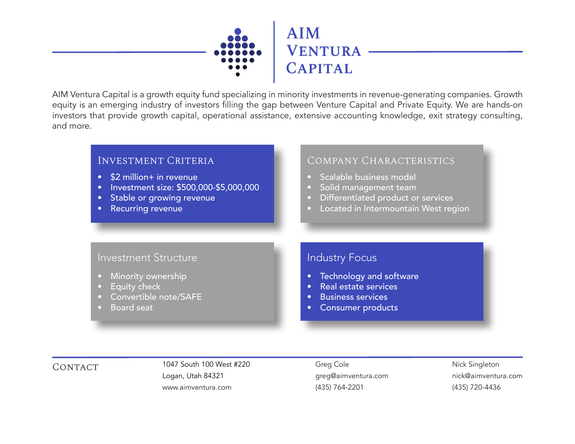

AIM Ventura Capital is a growth equity fund specializing in minority investments in revenue-generating companies. Growth equity is an emerging industry of investors filling the gap between Venture Capital and Private Equity. We are hands-on investors that provide growth capital, operational assistance, extensive accounting knowledge, exit strategy consulting, and more.



CONTACT 1047 South 100 West #220 Greg Cole Logan, Utah 84321 www.aimventura.com

greg@aimventura.com (435) 764-2201

Nick Singleton nick@aimventura.com (435) 720-4436